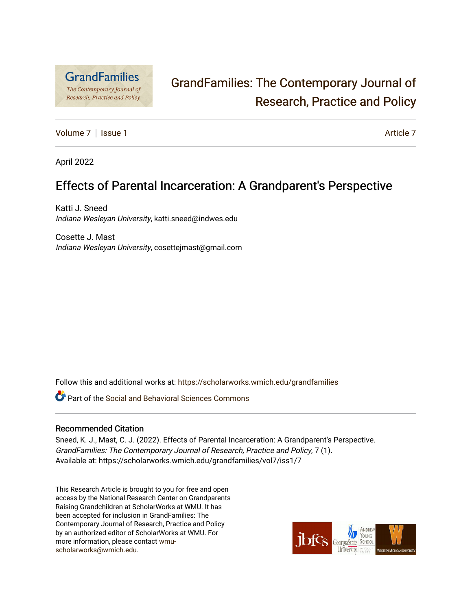

# [GrandFamilies: The Contemporary Journal of](https://scholarworks.wmich.edu/grandfamilies)  [Research, Practice and Policy](https://scholarworks.wmich.edu/grandfamilies)

[Volume 7](https://scholarworks.wmich.edu/grandfamilies/vol7) | [Issue 1](https://scholarworks.wmich.edu/grandfamilies/vol7/iss1) [Article 7](https://scholarworks.wmich.edu/grandfamilies/vol7/iss1/7) | Article 7 | Article 7 | Article 7 | Article 7 | Article 7 | Article 7

April 2022

# Effects of Parental Incarceration: A Grandparent's Perspective

Katti J. Sneed Indiana Wesleyan University, katti.sneed@indwes.edu

Cosette J. Mast Indiana Wesleyan University, cosettejmast@gmail.com

Follow this and additional works at: [https://scholarworks.wmich.edu/grandfamilies](https://scholarworks.wmich.edu/grandfamilies?utm_source=scholarworks.wmich.edu%2Fgrandfamilies%2Fvol7%2Fiss1%2F7&utm_medium=PDF&utm_campaign=PDFCoverPages)

Part of the [Social and Behavioral Sciences Commons](http://network.bepress.com/hgg/discipline/316?utm_source=scholarworks.wmich.edu%2Fgrandfamilies%2Fvol7%2Fiss1%2F7&utm_medium=PDF&utm_campaign=PDFCoverPages) 

#### Recommended Citation

Sneed, K. J., Mast, C. J. (2022). Effects of Parental Incarceration: A Grandparent's Perspective. GrandFamilies: The Contemporary Journal of Research, Practice and Policy, 7 (1). Available at: https://scholarworks.wmich.edu/grandfamilies/vol7/iss1/7

This Research Article is brought to you for free and open access by the National Research Center on Grandparents Raising Grandchildren at ScholarWorks at WMU. It has been accepted for inclusion in GrandFamilies: The Contemporary Journal of Research, Practice and Policy by an authorized editor of ScholarWorks at WMU. For more information, please contact [wmu](mailto:wmu-scholarworks@wmich.edu)[scholarworks@wmich.edu.](mailto:wmu-scholarworks@wmich.edu)

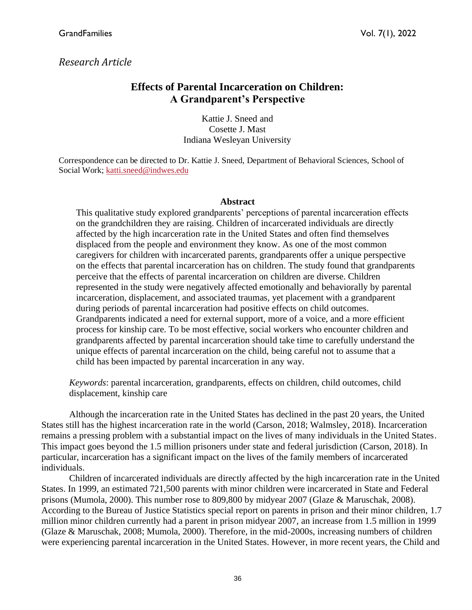# *Research Article*

# **Effects of Parental Incarceration on Children: A Grandparent's Perspective**

Kattie J. Sneed and Cosette J. Mast Indiana Wesleyan University

Correspondence can be directed to Dr. Kattie J. Sneed, Department of Behavioral Sciences, School of Social Work; [katti.sneed@indwes.edu](mailto:katti.sneed@indwes.edu)

#### **Abstract**

This qualitative study explored grandparents' perceptions of parental incarceration effects on the grandchildren they are raising. Children of incarcerated individuals are directly affected by the high incarceration rate in the United States and often find themselves displaced from the people and environment they know. As one of the most common caregivers for children with incarcerated parents, grandparents offer a unique perspective on the effects that parental incarceration has on children. The study found that grandparents perceive that the effects of parental incarceration on children are diverse. Children represented in the study were negatively affected emotionally and behaviorally by parental incarceration, displacement, and associated traumas, yet placement with a grandparent during periods of parental incarceration had positive effects on child outcomes. Grandparents indicated a need for external support, more of a voice, and a more efficient process for kinship care. To be most effective, social workers who encounter children and grandparents affected by parental incarceration should take time to carefully understand the unique effects of parental incarceration on the child, being careful not to assume that a child has been impacted by parental incarceration in any way.

*Keywords*: parental incarceration, grandparents, effects on children, child outcomes, child displacement, kinship care

Although the incarceration rate in the United States has declined in the past 20 years, the United States still has the highest incarceration rate in the world (Carson, 2018; Walmsley, 2018). Incarceration remains a pressing problem with a substantial impact on the lives of many individuals in the United States. This impact goes beyond the 1.5 million prisoners under state and federal jurisdiction (Carson, 2018). In particular, incarceration has a significant impact on the lives of the family members of incarcerated individuals.

Children of incarcerated individuals are directly affected by the high incarceration rate in the United States. In 1999, an estimated 721,500 parents with minor children were incarcerated in State and Federal prisons (Mumola, 2000). This number rose to 809,800 by midyear 2007 (Glaze & Maruschak, 2008). According to the Bureau of Justice Statistics special report on parents in prison and their minor children, 1.7 million minor children currently had a parent in prison midyear 2007, an increase from 1.5 million in 1999 (Glaze & Maruschak, 2008; Mumola, 2000). Therefore, in the mid-2000s, increasing numbers of children were experiencing parental incarceration in the United States. However, in more recent years, the Child and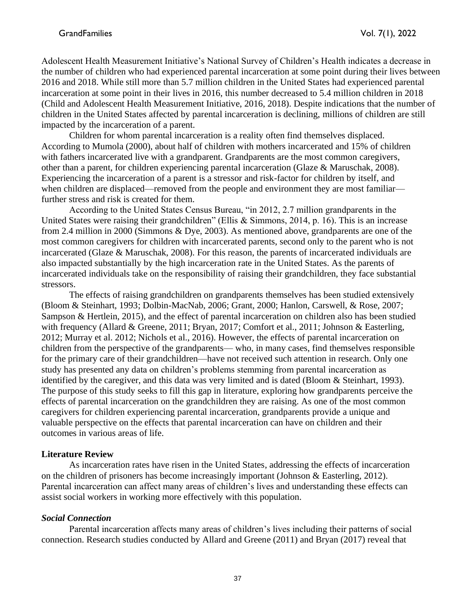Adolescent Health Measurement Initiative's National Survey of Children's Health indicates a decrease in the number of children who had experienced parental incarceration at some point during their lives between 2016 and 2018. While still more than 5.7 million children in the United States had experienced parental incarceration at some point in their lives in 2016, this number decreased to 5.4 million children in 2018 (Child and Adolescent Health Measurement Initiative, 2016, 2018). Despite indications that the number of children in the United States affected by parental incarceration is declining, millions of children are still impacted by the incarceration of a parent.

Children for whom parental incarceration is a reality often find themselves displaced. According to Mumola (2000), about half of children with mothers incarcerated and 15% of children with fathers incarcerated live with a grandparent. Grandparents are the most common caregivers, other than a parent, for children experiencing parental incarceration (Glaze & Maruschak, 2008). Experiencing the incarceration of a parent is a stressor and risk-factor for children by itself, and when children are displaced—removed from the people and environment they are most familiar further stress and risk is created for them.

According to the United States Census Bureau, "in 2012, 2.7 million grandparents in the United States were raising their grandchildren" (Ellis & Simmons, 2014, p. 16). This is an increase from 2.4 million in 2000 (Simmons & Dye, 2003). As mentioned above, grandparents are one of the most common caregivers for children with incarcerated parents, second only to the parent who is not incarcerated (Glaze & Maruschak, 2008). For this reason, the parents of incarcerated individuals are also impacted substantially by the high incarceration rate in the United States. As the parents of incarcerated individuals take on the responsibility of raising their grandchildren, they face substantial stressors.

The effects of raising grandchildren on grandparents themselves has been studied extensively (Bloom & Steinhart, 1993; Dolbin-MacNab, 2006; Grant, 2000; Hanlon, Carswell, & Rose, 2007; Sampson & Hertlein, 2015), and the effect of parental incarceration on children also has been studied with frequency (Allard & Greene, 2011; Bryan, 2017; Comfort et al., 2011; Johnson & Easterling, 2012; Murray et al. 2012; Nichols et al., 2016). However, the effects of parental incarceration on children from the perspective of the grandparents— who, in many cases, find themselves responsible for the primary care of their grandchildren—have not received such attention in research. Only one study has presented any data on children's problems stemming from parental incarceration as identified by the caregiver, and this data was very limited and is dated (Bloom & Steinhart, 1993). The purpose of this study seeks to fill this gap in literature, exploring how grandparents perceive the effects of parental incarceration on the grandchildren they are raising. As one of the most common caregivers for children experiencing parental incarceration, grandparents provide a unique and valuable perspective on the effects that parental incarceration can have on children and their outcomes in various areas of life.

#### **Literature Review**

As incarceration rates have risen in the United States, addressing the effects of incarceration on the children of prisoners has become increasingly important (Johnson & Easterling, 2012). Parental incarceration can affect many areas of children's lives and understanding these effects can assist social workers in working more effectively with this population.

#### *Social Connection*

Parental incarceration affects many areas of children's lives including their patterns of social connection. Research studies conducted by Allard and Greene (2011) and Bryan (2017) reveal that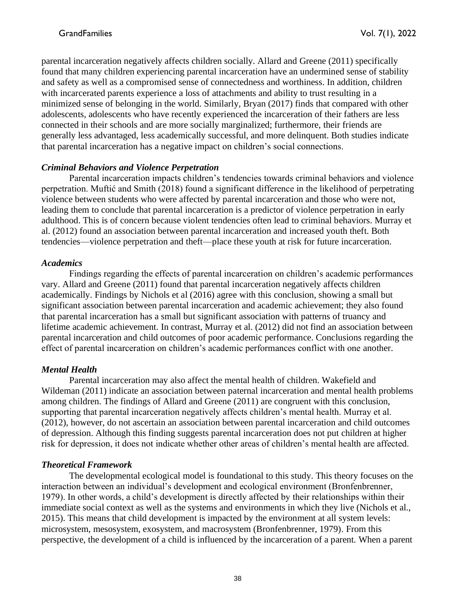parental incarceration negatively affects children socially. Allard and Greene (2011) specifically found that many children experiencing parental incarceration have an undermined sense of stability and safety as well as a compromised sense of connectedness and worthiness. In addition, children with incarcerated parents experience a loss of attachments and ability to trust resulting in a minimized sense of belonging in the world. Similarly, Bryan (2017) finds that compared with other adolescents, adolescents who have recently experienced the incarceration of their fathers are less connected in their schools and are more socially marginalized; furthermore, their friends are generally less advantaged, less academically successful, and more delinquent. Both studies indicate that parental incarceration has a negative impact on children's social connections.

## *Criminal Behaviors and Violence Perpetration*

Parental incarceration impacts children's tendencies towards criminal behaviors and violence perpetration. Muftić and Smith (2018) found a significant difference in the likelihood of perpetrating violence between students who were affected by parental incarceration and those who were not, leading them to conclude that parental incarceration is a predictor of violence perpetration in early adulthood. This is of concern because violent tendencies often lead to criminal behaviors. Murray et al. (2012) found an association between parental incarceration and increased youth theft. Both tendencies—violence perpetration and theft—place these youth at risk for future incarceration.

## *Academics*

Findings regarding the effects of parental incarceration on children's academic performances vary. Allard and Greene (2011) found that parental incarceration negatively affects children academically. Findings by Nichols et al (2016) agree with this conclusion, showing a small but significant association between parental incarceration and academic achievement; they also found that parental incarceration has a small but significant association with patterns of truancy and lifetime academic achievement. In contrast, Murray et al. (2012) did not find an association between parental incarceration and child outcomes of poor academic performance. Conclusions regarding the effect of parental incarceration on children's academic performances conflict with one another.

# *Mental Health*

Parental incarceration may also affect the mental health of children. Wakefield and Wildeman (2011) indicate an association between paternal incarceration and mental health problems among children. The findings of Allard and Greene (2011) are congruent with this conclusion, supporting that parental incarceration negatively affects children's mental health. Murray et al. (2012), however, do not ascertain an association between parental incarceration and child outcomes of depression. Although this finding suggests parental incarceration does not put children at higher risk for depression, it does not indicate whether other areas of children's mental health are affected.

# *Theoretical Framework*

The developmental ecological model is foundational to this study. This theory focuses on the interaction between an individual's development and ecological environment (Bronfenbrenner, 1979). In other words, a child's development is directly affected by their relationships within their immediate social context as well as the systems and environments in which they live (Nichols et al., 2015). This means that child development is impacted by the environment at all system levels: microsystem, mesosystem, exosystem, and macrosystem (Bronfenbrenner, 1979). From this perspective, the development of a child is influenced by the incarceration of a parent. When a parent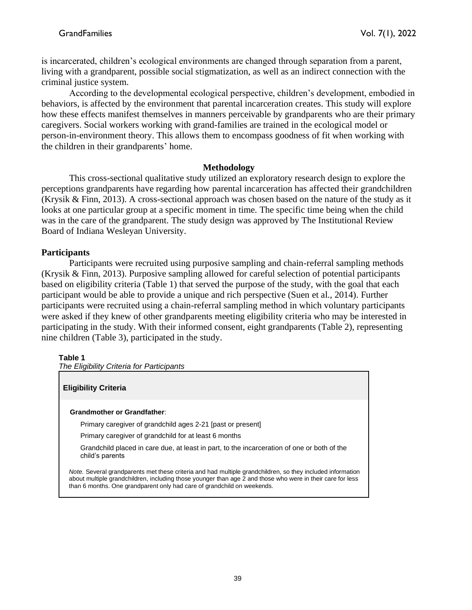is incarcerated, children's ecological environments are changed through separation from a parent, living with a grandparent, possible social stigmatization, as well as an indirect connection with the criminal justice system.

According to the developmental ecological perspective, children's development, embodied in behaviors, is affected by the environment that parental incarceration creates. This study will explore how these effects manifest themselves in manners perceivable by grandparents who are their primary caregivers. Social workers working with grand-families are trained in the ecological model or person-in-environment theory. This allows them to encompass goodness of fit when working with the children in their grandparents' home.

#### **Methodology**

This cross-sectional qualitative study utilized an exploratory research design to explore the perceptions grandparents have regarding how parental incarceration has affected their grandchildren (Krysik & Finn, 2013). A cross-sectional approach was chosen based on the nature of the study as it looks at one particular group at a specific moment in time. The specific time being when the child was in the care of the grandparent. The study design was approved by The Institutional Review Board of Indiana Wesleyan University.

## **Participants**

Participants were recruited using purposive sampling and chain-referral sampling methods (Krysik & Finn, 2013). Purposive sampling allowed for careful selection of potential participants based on eligibility criteria (Table 1) that served the purpose of the study, with the goal that each participant would be able to provide a unique and rich perspective (Suen et al., 2014). Further participants were recruited using a chain-referral sampling method in which voluntary participants were asked if they knew of other grandparents meeting eligibility criteria who may be interested in participating in the study. With their informed consent, eight grandparents (Table 2), representing nine children (Table 3), participated in the study.

#### **Table 1**

*The Eligibility Criteria for Participants*

# **Eligibility Criteria Grandmother or Grandfather**: Primary caregiver of grandchild ages 2-21 [past or present] Primary caregiver of grandchild for at least 6 months Grandchild placed in care due, at least in part, to the incarceration of one or both of the child's parents *Note.* Several grandparents met these criteria and had multiple grandchildren, so they included information about multiple grandchildren, including those younger than age 2 and those who were in their care for less than 6 months. One grandparent only had care of grandchild on weekends.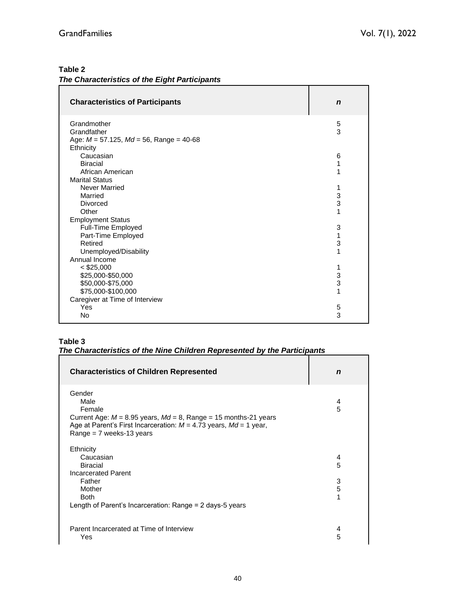# **Table 2**

| The Characteristics of the Eight Participants |  |  |
|-----------------------------------------------|--|--|
|                                               |  |  |

| <b>Characteristics of Participants</b>                     | $\mathbf n$ |
|------------------------------------------------------------|-------------|
| Grandmother                                                | 5           |
| Grandfather                                                | 3           |
| Age: $M = 57.125$ , $Md = 56$ , Range = 40-68<br>Ethnicity |             |
| Caucasian                                                  | 6           |
| <b>Biracial</b>                                            | 1           |
| African American                                           | 1           |
| <b>Marital Status</b>                                      |             |
| Never Married                                              | 1           |
| Married                                                    | 3<br>3      |
| Divorced<br>Other                                          | 1           |
| <b>Employment Status</b>                                   |             |
| Full-Time Employed                                         | 3           |
| Part-Time Employed                                         | 1           |
| Retired                                                    | 3           |
| Unemployed/Disability                                      | 1           |
| Annual Income                                              |             |
| $<$ \$25,000                                               | 1           |
| \$25,000-\$50,000                                          | 3           |
| \$50,000-\$75,000                                          | 3           |
| \$75,000-\$100,000                                         | 1           |
| Caregiver at Time of Interview<br>Yes                      | 5           |
| No                                                         | 3           |
|                                                            |             |

# **Table 3**

# *The Characteristics of the Nine Children Represented by the Participants*

| <b>Characteristics of Children Represented</b>                                                                                                                                                          | n           |
|---------------------------------------------------------------------------------------------------------------------------------------------------------------------------------------------------------|-------------|
| Gender<br>Male<br>Female<br>Current Age: $M = 8.95$ years, $Md = 8$ , Range = 15 months-21 years<br>Age at Parent's First Incarceration: $M = 4.73$ years, $Md = 1$ year,<br>Range = $7$ weeks-13 years | 4<br>5      |
| Ethnicity<br>Caucasian<br>Biracial<br><b>Incarcerated Parent</b><br>Father                                                                                                                              | 4<br>5<br>3 |
| Mother<br><b>Both</b><br>Length of Parent's Incarceration: Range $= 2$ days-5 years                                                                                                                     | 5<br>1      |
| Parent Incarcerated at Time of Interview<br>Yes                                                                                                                                                         | 4<br>5      |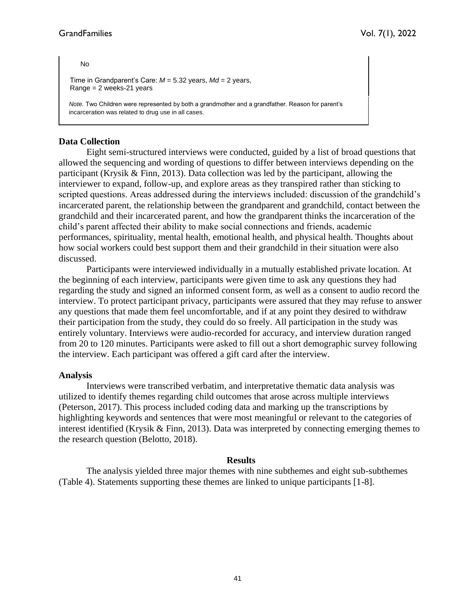No

Time in Grandparent's Care: *M* = 5.32 years, *Md* = 2 years, Range = 2 weeks-21 years

*Note.* Two Children were represented by both a grandmother and a grandfather. Reason for parent's incarceration was related to drug use in all cases.

#### **Data Collection**

Eight semi-structured interviews were conducted, guided by a list of broad questions that allowed the sequencing and wording of questions to differ between interviews depending on the participant (Krysik & Finn, 2013). Data collection was led by the participant, allowing the interviewer to expand, follow-up, and explore areas as they transpired rather than sticking to scripted questions. Areas addressed during the interviews included: discussion of the grandchild's incarcerated parent, the relationship between the grandparent and grandchild, contact between the grandchild and their incarcerated parent, and how the grandparent thinks the incarceration of the child's parent affected their ability to make social connections and friends, academic performances, spirituality, mental health, emotional health, and physical health. Thoughts about how social workers could best support them and their grandchild in their situation were also discussed.

Participants were interviewed individually in a mutually established private location. At the beginning of each interview, participants were given time to ask any questions they had regarding the study and signed an informed consent form, as well as a consent to audio record the interview. To protect participant privacy, participants were assured that they may refuse to answer any questions that made them feel uncomfortable, and if at any point they desired to withdraw their participation from the study, they could do so freely. All participation in the study was entirely voluntary. Interviews were audio-recorded for accuracy, and interview duration ranged from 20 to 120 minutes. Participants were asked to fill out a short demographic survey following the interview. Each participant was offered a gift card after the interview.

#### **Analysis**

Interviews were transcribed verbatim, and interpretative thematic data analysis was utilized to identify themes regarding child outcomes that arose across multiple interviews (Peterson, 2017). This process included coding data and marking up the transcriptions by highlighting keywords and sentences that were most meaningful or relevant to the categories of interest identified (Krysik & Finn, 2013). Data was interpreted by connecting emerging themes to the research question (Belotto, 2018).

#### **Results**

The analysis yielded three major themes with nine subthemes and eight sub-subthemes (Table 4). Statements supporting these themes are linked to unique participants [1-8].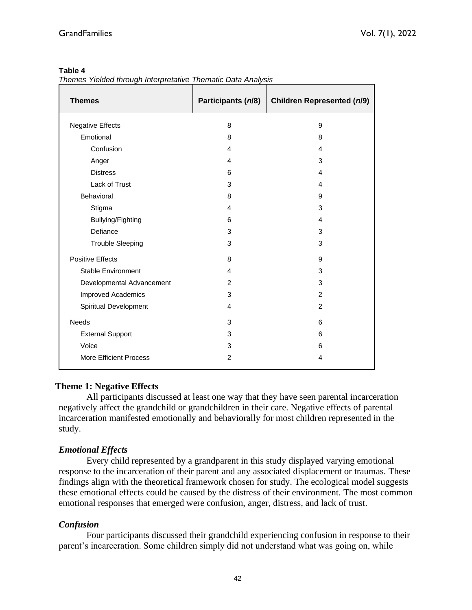#### **Table 4**

*Themes Yielded through Interpretative Thematic Data Analysis*

| <b>Themes</b>                 | Participants (n/8) | <b>Children Represented (n/9)</b> |  |
|-------------------------------|--------------------|-----------------------------------|--|
| <b>Negative Effects</b>       | 8                  | 9                                 |  |
| Emotional                     | 8                  | 8                                 |  |
| Confusion                     | 4                  | 4                                 |  |
| Anger                         | 4                  | 3                                 |  |
| <b>Distress</b>               | 6                  | 4                                 |  |
| Lack of Trust                 | 3                  | 4                                 |  |
| Behavioral                    | 8                  | 9                                 |  |
| Stigma                        | 4                  | 3                                 |  |
| Bullying/Fighting             | 6                  | 4                                 |  |
| Defiance                      | 3                  | 3                                 |  |
| <b>Trouble Sleeping</b>       | 3                  | 3                                 |  |
| <b>Positive Effects</b>       | 8                  | 9                                 |  |
| <b>Stable Environment</b>     | 4                  | 3                                 |  |
| Developmental Advancement     | 2                  | 3                                 |  |
| Improved Academics            | 3                  | $\overline{2}$                    |  |
| Spiritual Development         | 4                  | $\overline{2}$                    |  |
| <b>Needs</b>                  | 3                  | 6                                 |  |
| <b>External Support</b>       | 3                  | 6                                 |  |
| Voice                         | 3                  | 6                                 |  |
| <b>More Efficient Process</b> | $\overline{2}$     | 4                                 |  |

# **Theme 1: Negative Effects**

All participants discussed at least one way that they have seen parental incarceration negatively affect the grandchild or grandchildren in their care. Negative effects of parental incarceration manifested emotionally and behaviorally for most children represented in the study.

# *Emotional Effects*

Every child represented by a grandparent in this study displayed varying emotional response to the incarceration of their parent and any associated displacement or traumas. These findings align with the theoretical framework chosen for study. The ecological model suggests these emotional effects could be caused by the distress of their environment. The most common emotional responses that emerged were confusion, anger, distress, and lack of trust.

# *Confusion*

Four participants discussed their grandchild experiencing confusion in response to their parent's incarceration. Some children simply did not understand what was going on, while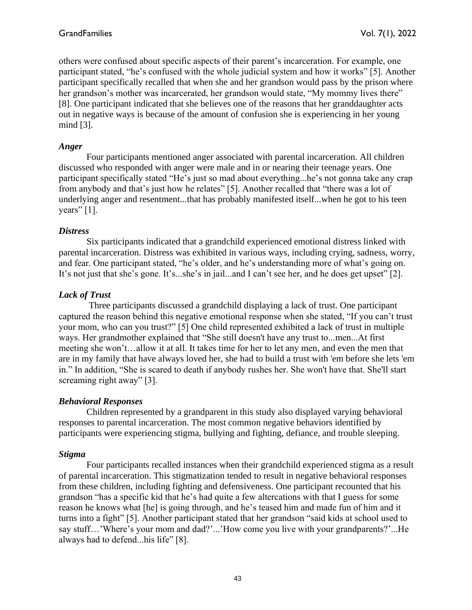others were confused about specific aspects of their parent's incarceration. For example, one participant stated, "he's confused with the whole judicial system and how it works" [5]. Another participant specifically recalled that when she and her grandson would pass by the prison where her grandson's mother was incarcerated, her grandson would state, "My mommy lives there" [8]. One participant indicated that she believes one of the reasons that her granddaughter acts out in negative ways is because of the amount of confusion she is experiencing in her young mind [3].

#### *Anger*

Four participants mentioned anger associated with parental incarceration. All children discussed who responded with anger were male and in or nearing their teenage years. One participant specifically stated "He's just so mad about everything...he's not gonna take any crap from anybody and that's just how he relates" [5]. Another recalled that "there was a lot of underlying anger and resentment...that has probably manifested itself...when he got to his teen years"  $[1]$ .

#### *Distress*

Six participants indicated that a grandchild experienced emotional distress linked with parental incarceration. Distress was exhibited in various ways, including crying, sadness, worry, and fear. One participant stated, "he's older, and he's understanding more of what's going on. It's not just that she's gone. It's...she's in jail...and I can't see her, and he does get upset" [2].

#### *Lack of Trust*

Three participants discussed a grandchild displaying a lack of trust. One participant captured the reason behind this negative emotional response when she stated, "If you can't trust your mom, who can you trust?" [5] One child represented exhibited a lack of trust in multiple ways. Her grandmother explained that "She still doesn't have any trust to...men...At first meeting she won't…allow it at all. It takes time for her to let any men, and even the men that are in my family that have always loved her, she had to build a trust with 'em before she lets 'em in." In addition, "She is scared to death if anybody rushes her. She won't have that. She'll start screaming right away" [3].

#### *Behavioral Responses*

Children represented by a grandparent in this study also displayed varying behavioral responses to parental incarceration. The most common negative behaviors identified by participants were experiencing stigma, bullying and fighting, defiance, and trouble sleeping.

#### *Stigma*

Four participants recalled instances when their grandchild experienced stigma as a result of parental incarceration. This stigmatization tended to result in negative behavioral responses from these children, including fighting and defensiveness. One participant recounted that his grandson "has a specific kid that he's had quite a few altercations with that I guess for some reason he knows what [he] is going through, and he's teased him and made fun of him and it turns into a fight" [5]. Another participant stated that her grandson "said kids at school used to say stuff…'Where's your mom and dad?'...'How come you live with your grandparents?'...He always had to defend...his life" [8].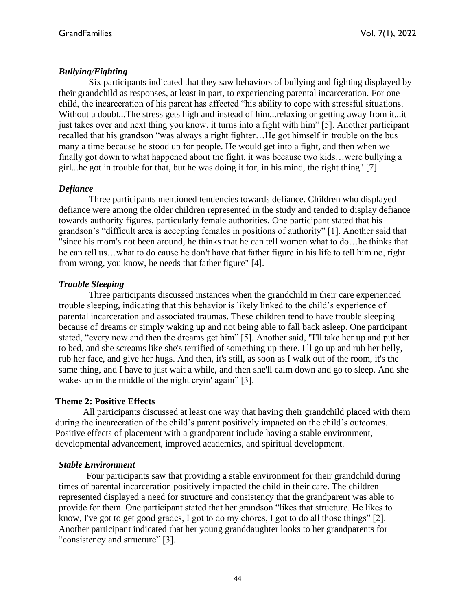# *Bullying/Fighting*

Six participants indicated that they saw behaviors of bullying and fighting displayed by their grandchild as responses, at least in part, to experiencing parental incarceration. For one child, the incarceration of his parent has affected "his ability to cope with stressful situations. Without a doubt...The stress gets high and instead of him...relaxing or getting away from it...it just takes over and next thing you know, it turns into a fight with him" [5]. Another participant recalled that his grandson "was always a right fighter…He got himself in trouble on the bus many a time because he stood up for people. He would get into a fight, and then when we finally got down to what happened about the fight, it was because two kids…were bullying a girl...he got in trouble for that, but he was doing it for, in his mind, the right thing" [7].

# *Defiance*

Three participants mentioned tendencies towards defiance. Children who displayed defiance were among the older children represented in the study and tended to display defiance towards authority figures, particularly female authorities. One participant stated that his grandson's "difficult area is accepting females in positions of authority" [1]. Another said that "since his mom's not been around, he thinks that he can tell women what to do…he thinks that he can tell us…what to do cause he don't have that father figure in his life to tell him no, right from wrong, you know, he needs that father figure" [4].

# *Trouble Sleeping*

Three participants discussed instances when the grandchild in their care experienced trouble sleeping, indicating that this behavior is likely linked to the child's experience of parental incarceration and associated traumas. These children tend to have trouble sleeping because of dreams or simply waking up and not being able to fall back asleep. One participant stated, "every now and then the dreams get him" [5]. Another said, "I'll take her up and put her to bed, and she screams like she's terrified of something up there. I'll go up and rub her belly, rub her face, and give her hugs. And then, it's still, as soon as I walk out of the room, it's the same thing, and I have to just wait a while, and then she'll calm down and go to sleep. And she wakes up in the middle of the night cryin' again" [3].

# **Theme 2: Positive Effects**

All participants discussed at least one way that having their grandchild placed with them during the incarceration of the child's parent positively impacted on the child's outcomes. Positive effects of placement with a grandparent include having a stable environment, developmental advancement, improved academics, and spiritual development.

# *Stable Environment*

Four participants saw that providing a stable environment for their grandchild during times of parental incarceration positively impacted the child in their care. The children represented displayed a need for structure and consistency that the grandparent was able to provide for them. One participant stated that her grandson "likes that structure. He likes to know, I've got to get good grades, I got to do my chores, I got to do all those things" [2]. Another participant indicated that her young granddaughter looks to her grandparents for "consistency and structure" [3].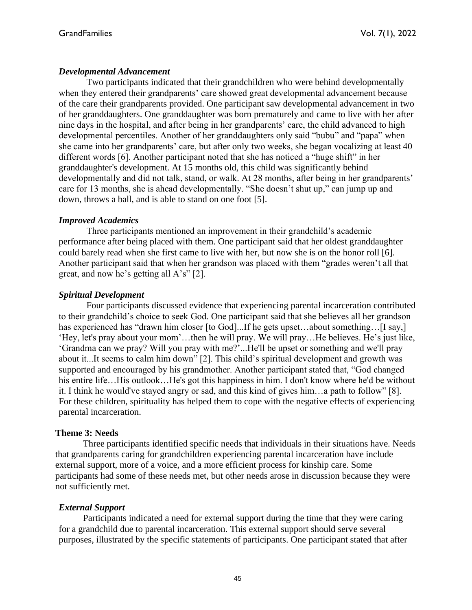#### *Developmental Advancement*

Two participants indicated that their grandchildren who were behind developmentally when they entered their grandparents' care showed great developmental advancement because of the care their grandparents provided. One participant saw developmental advancement in two of her granddaughters. One granddaughter was born prematurely and came to live with her after nine days in the hospital, and after being in her grandparents' care, the child advanced to high developmental percentiles. Another of her granddaughters only said "bubu" and "papa" when she came into her grandparents' care, but after only two weeks, she began vocalizing at least 40 different words [6]. Another participant noted that she has noticed a "huge shift" in her granddaughter's development. At 15 months old, this child was significantly behind developmentally and did not talk, stand, or walk. At 28 months, after being in her grandparents' care for 13 months, she is ahead developmentally. "She doesn't shut up," can jump up and down, throws a ball, and is able to stand on one foot [5].

#### *Improved Academics*

Three participants mentioned an improvement in their grandchild's academic performance after being placed with them. One participant said that her oldest granddaughter could barely read when she first came to live with her, but now she is on the honor roll [6]. Another participant said that when her grandson was placed with them "grades weren't all that great, and now he's getting all A's" [2].

## *Spiritual Development*

Four participants discussed evidence that experiencing parental incarceration contributed to their grandchild's choice to seek God. One participant said that she believes all her grandson has experienced has "drawn him closer [to God]...If he gets upset...about something...[I say,] 'Hey, let's pray about your mom'…then he will pray. We will pray…He believes. He's just like, 'Grandma can we pray? Will you pray with me?'...He'll be upset or something and we'll pray about it...It seems to calm him down" [2]. This child's spiritual development and growth was supported and encouraged by his grandmother. Another participant stated that, "God changed his entire life…His outlook…He's got this happiness in him. I don't know where he'd be without it. I think he would've stayed angry or sad, and this kind of gives him…a path to follow" [8]. For these children, spirituality has helped them to cope with the negative effects of experiencing parental incarceration.

#### **Theme 3: Needs**

Three participants identified specific needs that individuals in their situations have. Needs that grandparents caring for grandchildren experiencing parental incarceration have include external support, more of a voice, and a more efficient process for kinship care. Some participants had some of these needs met, but other needs arose in discussion because they were not sufficiently met.

#### *External Support*

Participants indicated a need for external support during the time that they were caring for a grandchild due to parental incarceration. This external support should serve several purposes, illustrated by the specific statements of participants. One participant stated that after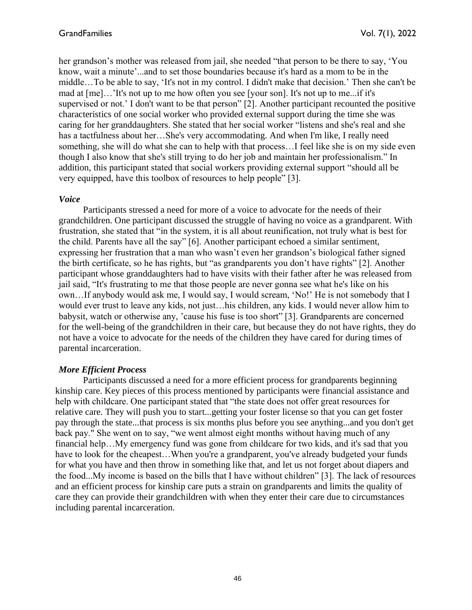her grandson's mother was released from jail, she needed "that person to be there to say, 'You know, wait a minute'...and to set those boundaries because it's hard as a mom to be in the middle…To be able to say, 'It's not in my control. I didn't make that decision.' Then she can't be mad at [me]…'It's not up to me how often you see [your son]. It's not up to me...if it's supervised or not.' I don't want to be that person" [2]. Another participant recounted the positive characteristics of one social worker who provided external support during the time she was caring for her granddaughters. She stated that her social worker "listens and she's real and she has a tactfulness about her…She's very accommodating. And when I'm like, I really need something, she will do what she can to help with that process…I feel like she is on my side even though I also know that she's still trying to do her job and maintain her professionalism." In addition, this participant stated that social workers providing external support "should all be very equipped, have this toolbox of resources to help people" [3].

#### *Voice*

Participants stressed a need for more of a voice to advocate for the needs of their grandchildren. One participant discussed the struggle of having no voice as a grandparent. With frustration, she stated that "in the system, it is all about reunification, not truly what is best for the child. Parents have all the say" [6]. Another participant echoed a similar sentiment, expressing her frustration that a man who wasn't even her grandson's biological father signed the birth certificate, so he has rights, but "as grandparents you don't have rights" [2]. Another participant whose granddaughters had to have visits with their father after he was released from jail said, "It's frustrating to me that those people are never gonna see what he's like on his own…If anybody would ask me, I would say, I would scream, 'No!' He is not somebody that I would ever trust to leave any kids, not just…his children, any kids. I would never allow him to babysit, watch or otherwise any, 'cause his fuse is too short" [3]. Grandparents are concerned for the well-being of the grandchildren in their care, but because they do not have rights, they do not have a voice to advocate for the needs of the children they have cared for during times of parental incarceration.

#### *More Efficient Process*

Participants discussed a need for a more efficient process for grandparents beginning kinship care. Key pieces of this process mentioned by participants were financial assistance and help with childcare. One participant stated that "the state does not offer great resources for relative care. They will push you to start...getting your foster license so that you can get foster pay through the state...that process is six months plus before you see anything...and you don't get back pay." She went on to say, "we went almost eight months without having much of any financial help…My emergency fund was gone from childcare for two kids, and it's sad that you have to look for the cheapest...When you're a grandparent, you've already budgeted your funds for what you have and then throw in something like that, and let us not forget about diapers and the food...My income is based on the bills that I have without children" [3]. The lack of resources and an efficient process for kinship care puts a strain on grandparents and limits the quality of care they can provide their grandchildren with when they enter their care due to circumstances including parental incarceration.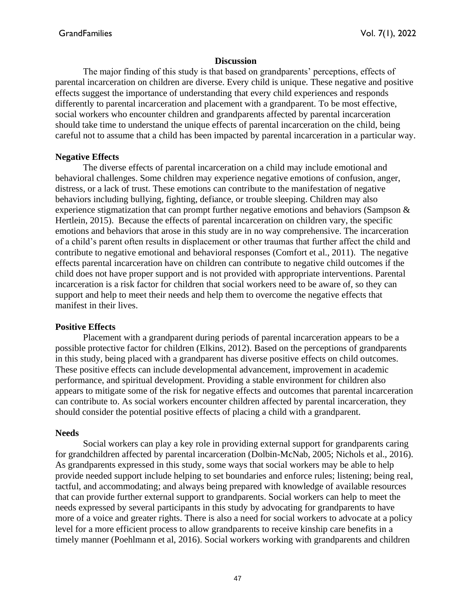#### **Discussion**

The major finding of this study is that based on grandparents' perceptions, effects of parental incarceration on children are diverse. Every child is unique. These negative and positive effects suggest the importance of understanding that every child experiences and responds differently to parental incarceration and placement with a grandparent. To be most effective, social workers who encounter children and grandparents affected by parental incarceration should take time to understand the unique effects of parental incarceration on the child, being careful not to assume that a child has been impacted by parental incarceration in a particular way.

#### **Negative Effects**

The diverse effects of parental incarceration on a child may include emotional and behavioral challenges. Some children may experience negative emotions of confusion, anger, distress, or a lack of trust. These emotions can contribute to the manifestation of negative behaviors including bullying, fighting, defiance, or trouble sleeping. Children may also experience stigmatization that can prompt further negative emotions and behaviors (Sampson & Hertlein, 2015). Because the effects of parental incarceration on children vary, the specific emotions and behaviors that arose in this study are in no way comprehensive. The incarceration of a child's parent often results in displacement or other traumas that further affect the child and contribute to negative emotional and behavioral responses (Comfort et al., 2011). The negative effects parental incarceration have on children can contribute to negative child outcomes if the child does not have proper support and is not provided with appropriate interventions. Parental incarceration is a risk factor for children that social workers need to be aware of, so they can support and help to meet their needs and help them to overcome the negative effects that manifest in their lives.

#### **Positive Effects**

Placement with a grandparent during periods of parental incarceration appears to be a possible protective factor for children (Elkins, 2012). Based on the perceptions of grandparents in this study, being placed with a grandparent has diverse positive effects on child outcomes. These positive effects can include developmental advancement, improvement in academic performance, and spiritual development. Providing a stable environment for children also appears to mitigate some of the risk for negative effects and outcomes that parental incarceration can contribute to. As social workers encounter children affected by parental incarceration, they should consider the potential positive effects of placing a child with a grandparent.

#### **Needs**

Social workers can play a key role in providing external support for grandparents caring for grandchildren affected by parental incarceration (Dolbin-McNab, 2005; Nichols et al., 2016). As grandparents expressed in this study, some ways that social workers may be able to help provide needed support include helping to set boundaries and enforce rules; listening; being real, tactful, and accommodating; and always being prepared with knowledge of available resources that can provide further external support to grandparents. Social workers can help to meet the needs expressed by several participants in this study by advocating for grandparents to have more of a voice and greater rights. There is also a need for social workers to advocate at a policy level for a more efficient process to allow grandparents to receive kinship care benefits in a timely manner (Poehlmann et al, 2016). Social workers working with grandparents and children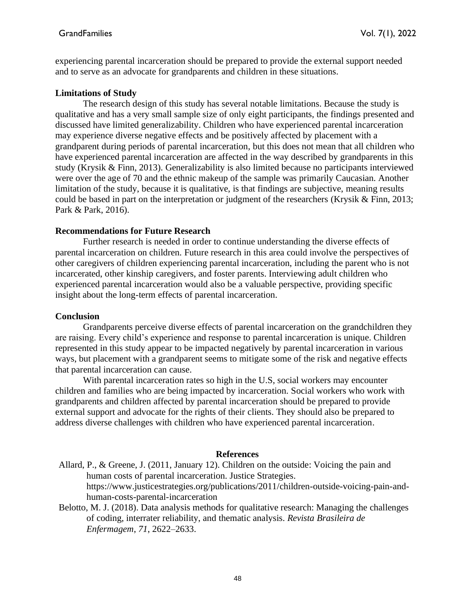experiencing parental incarceration should be prepared to provide the external support needed and to serve as an advocate for grandparents and children in these situations.

#### **Limitations of Study**

The research design of this study has several notable limitations. Because the study is qualitative and has a very small sample size of only eight participants, the findings presented and discussed have limited generalizability. Children who have experienced parental incarceration may experience diverse negative effects and be positively affected by placement with a grandparent during periods of parental incarceration, but this does not mean that all children who have experienced parental incarceration are affected in the way described by grandparents in this study (Krysik & Finn, 2013). Generalizability is also limited because no participants interviewed were over the age of 70 and the ethnic makeup of the sample was primarily Caucasian. Another limitation of the study, because it is qualitative, is that findings are subjective, meaning results could be based in part on the interpretation or judgment of the researchers (Krysik & Finn, 2013; Park & Park, 2016).

## **Recommendations for Future Research**

Further research is needed in order to continue understanding the diverse effects of parental incarceration on children. Future research in this area could involve the perspectives of other caregivers of children experiencing parental incarceration, including the parent who is not incarcerated, other kinship caregivers, and foster parents. Interviewing adult children who experienced parental incarceration would also be a valuable perspective, providing specific insight about the long-term effects of parental incarceration.

#### **Conclusion**

Grandparents perceive diverse effects of parental incarceration on the grandchildren they are raising. Every child's experience and response to parental incarceration is unique. Children represented in this study appear to be impacted negatively by parental incarceration in various ways, but placement with a grandparent seems to mitigate some of the risk and negative effects that parental incarceration can cause.

With parental incarceration rates so high in the U.S, social workers may encounter children and families who are being impacted by incarceration. Social workers who work with grandparents and children affected by parental incarceration should be prepared to provide external support and advocate for the rights of their clients. They should also be prepared to address diverse challenges with children who have experienced parental incarceration.

#### **References**

- Allard, P., & Greene, J. (2011, January 12). Children on the outside: Voicing the pain and human costs of parental incarceration. Justice Strategies. [https://www.justicestrategies.org/publications/2011/children-outside-voicing-pain-and](https://www.justicestrategies.org/publications/2011/children-outside-voicing-pain-and-human-costs-parental-incarceration)[human-costs-parental-incarceration](https://www.justicestrategies.org/publications/2011/children-outside-voicing-pain-and-human-costs-parental-incarceration)
- Belotto, M. J. (2018). Data analysis methods for qualitative research: Managing the challenges of coding, interrater reliability, and thematic analysis. *Revista Brasileira de Enfermagem*, *71*, 2622–2633.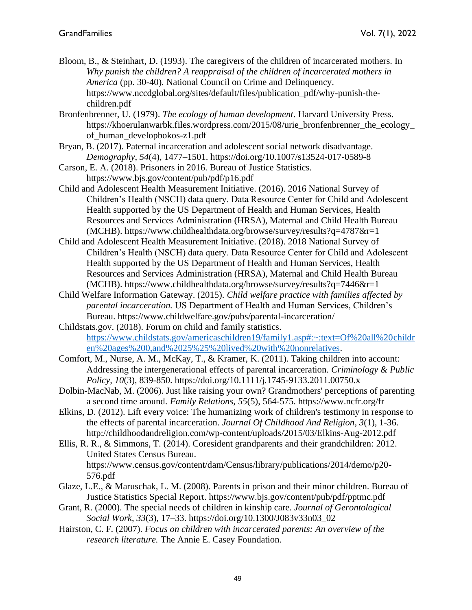- Bloom, B., & Steinhart, D. (1993). The caregivers of the children of incarcerated mothers. In *Why punish the children? A reappraisal of the children of incarcerated mothers in America* (pp. 30-40)*.* National Council on Crime and Delinquency. [https://www.nccdglobal.org/sites/default/files/publication\\_pdf/why-punish-the](https://www.nccdglobal.org/sites/default/files/publication_pdf/why-punish-the-children.pdf)[children.pdf](https://www.nccdglobal.org/sites/default/files/publication_pdf/why-punish-the-children.pdf)
- Bronfenbrenner, U. (1979). *The ecology of human development*. Harvard University Press. https://khoerulanwarbk.files.wordpress.com/2015/08/urie\_bronfenbrenner\_the\_ecology\_ of\_human\_developbokos-z1.pdf
- Bryan, B. (2017). Paternal incarceration and adolescent social network disadvantage. *Demography*, *54*(4), 1477–1501. https://doi.org/10.1007/s13524-017-0589-8
- Carson, E. A. (2018). Prisoners in 2016. Bureau of Justice Statistics. <https://www.bjs.gov/content/pub/pdf/p16.pdf>
- Child and Adolescent Health Measurement Initiative. (2016). 2016 National Survey of Children's Health (NSCH) data query. Data Resource Center for Child and Adolescent Health supported by the US Department of Health and Human Services, Health Resources and Services Administration (HRSA), Maternal and Child Health Bureau (MCHB).<https://www.childhealthdata.org/browse/survey/results?q=4787&r=1>
- Child and Adolescent Health Measurement Initiative. (2018). 2018 National Survey of Children's Health (NSCH) data query. Data Resource Center for Child and Adolescent Health supported by the US Department of Health and Human Services, Health Resources and Services Administration (HRSA), Maternal and Child Health Bureau (MCHB). https://www.childhealthdata.org/browse/survey/results?q=7446&r=1
- Child Welfare Information Gateway. (2015). *Child welfare practice with families affected by parental incarceration.* US Department of Health and Human Services, Children's Bureau.<https://www.childwelfare.gov/pubs/parental-incarceration/>
- Childstats.gov. (2018). Forum on child and family statistics. [https://www.childstats.gov/americaschildren19/family1.asp#:~:text=Of%20all%20childr](https://www.childstats.gov/americaschildren19/family1.asp#:~:text=Of%20all%20children%20ages%200,and%2025%25%20lived%20with%20nonrelatives) [en%20ages%200,and%2025%25%20lived%20with%20nonrelatives.](https://www.childstats.gov/americaschildren19/family1.asp#:~:text=Of%20all%20children%20ages%200,and%2025%25%20lived%20with%20nonrelatives)
- Comfort, M., Nurse, A. M., McKay, T., & Kramer, K. (2011). Taking children into account: Addressing the intergenerational effects of parental incarceration. *Criminology & Public Policy, 10*(3), 839-850. https://doi.org/10.1111/j.1745-9133.2011.00750.x
- Dolbin-MacNab, M. (2006). Just like raising your own? Grandmothers' perceptions of parenting a second time around. *Family Relations, 55*(5), 564-575.<https://www.ncfr.org/fr>
- Elkins, D. (2012). Lift every voice: The humanizing work of children's testimony in response to the effects of parental incarceration. *Journal Of Childhood And Religion*, *3*(1), 1-36. http://childhoodandreligion.com/wp-content/uploads/2015/03/Elkins-Aug-2012.pdf
- Ellis, R. R., & Simmons, T. (2014). Coresident grandparents and their grandchildren: 2012. United States Census Bureau. https://www.census.gov/content/dam/Census/library/publications/2014/demo/p20- 576.pdf
- Glaze, L.E., & Maruschak, L. M. (2008). Parents in prison and their minor children. Bureau of Justice Statistics Special Report.<https://www.bjs.gov/content/pub/pdf/pptmc.pdf>
- Grant, R. (2000). The special needs of children in kinship care. *Journal of Gerontological Social Work*, *33*(3), 17–33. https://doi.org/10.1300/J083v33n03\_02
- Hairston, C. F. (2007). *Focus on children with incarcerated parents: An overview of the research literature.* The Annie E. Casey Foundation.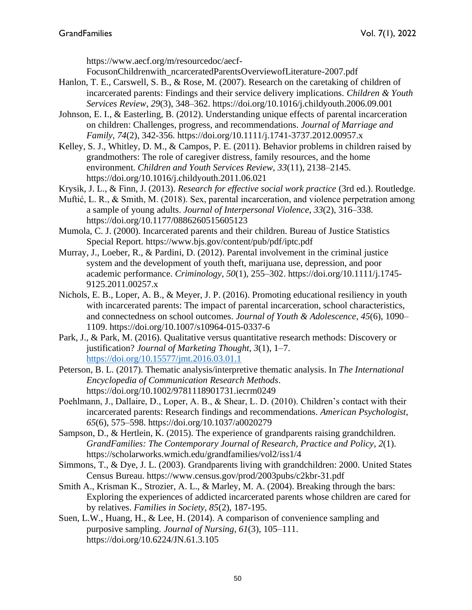[https://www.aecf.org/m/resourcedoc/aecf-](https://www.aecf.org/m/resourcedoc/aecf-FocusonChildrenwith_ncarceratedParentsOverviewofLiterature-2007.pdf)

[FocusonChildrenwith\\_ncarceratedParentsOverviewofLiterature-2007.pdf](https://www.aecf.org/m/resourcedoc/aecf-FocusonChildrenwith_ncarceratedParentsOverviewofLiterature-2007.pdf)

- Hanlon, T. E., Carswell, S. B., & Rose, M. (2007). Research on the caretaking of children of incarcerated parents: Findings and their service delivery implications. *Children & Youth Services Review*, *29*(3), 348–362. https://doi.org/10.1016/j.childyouth.2006.09.001
- Johnson, E. I., & Easterling, B. (2012). Understanding unique effects of parental incarceration on children: Challenges, progress, and recommendations. *Journal of Marriage and Family*, *74*(2), 342-356. https://doi.org/10.1111/j.1741-3737.2012.00957.x
- Kelley, S. J., Whitley, D. M., & Campos, P. E. (2011). Behavior problems in children raised by grandmothers: The role of caregiver distress, family resources, and the home environment. *Children and Youth Services Review*, *33*(11), 2138–2145. https://doi.org/10.1016/j.childyouth.2011.06.021
- Krysik, J. L., & Finn, J. (2013). *Research for effective social work practice* (3rd ed.). Routledge.
- Muftić, L. R., & Smith, M. (2018). Sex, parental incarceration, and violence perpetration among a sample of young adults. *Journal of Interpersonal Violence*, *33*(2), 316–338. https:/[/doi.org/10.1177/0886260515605123](https://doi.org/10.1177/0886260515605123)
- Mumola, C. J. (2000). Incarcerated parents and their children. Bureau of Justice Statistics Special Report.<https://www.bjs.gov/content/pub/pdf/iptc.pdf>
- Murray, J., Loeber, R., & Pardini, D. (2012). Parental involvement in the criminal justice system and the development of youth theft, marijuana use, depression, and poor academic performance. *Criminology*, *50*(1), 255–302. https://doi.org/10.1111/j.1745- 9125.2011.00257.x
- Nichols, E. B., Loper, A. B., & Meyer, J. P. (2016). Promoting educational resiliency in youth with incarcerated parents: The impact of parental incarceration, school characteristics, and connectedness on school outcomes. *Journal of Youth & Adolescence*, *45*(6), 1090– 1109. https://doi.org/10.1007/s10964-015-0337-6
- Park, J., & Park, M. (2016). Qualitative versus quantitative research methods: Discovery or justification? *Journal of Marketing Thought*, *3*(1), 1–7. <https://doi.org/10.15577/jmt.2016.03.01.1>

Peterson, B. L. (2017). Thematic analysis/interpretive thematic analysis. In *[The International](https://onlinelibrary.wiley.com/doi/book/10.1002/9781118901731)  [Encyclopedia of Communication Research Methods](https://onlinelibrary.wiley.com/doi/book/10.1002/9781118901731)*. <https://doi.org/10.1002/9781118901731.iecrm0249>

- Poehlmann, J., Dallaire, D., Loper, A. B., & Shear, L. D. (2010). Children's contact with their incarcerated parents: Research findings and recommendations. *American Psychologist*, *65*(6), 575–598. https://doi.org/10.1037/a0020279
- Sampson, D., & Hertlein, K. (2015). The experience of grandparents raising grandchildren. *GrandFamilies: The Contemporary Journal of Research, Practice and Policy*, *2*(1). <https://scholarworks.wmich.edu/grandfamilies/vol2/iss1/4>
- Simmons, T., & Dye, J. L. (2003). Grandparents living with grandchildren: 2000. United States Census Bureau.<https://www.census.gov/prod/2003pubs/c2kbr-31.pdf>
- Smith A., Krisman K., Strozier, A. L., & Marley, M. A. (2004). Breaking through the bars: Exploring the experiences of addicted incarcerated parents whose children are cared for by relatives. *Families in Society, 85*(2), 187-195.
- Suen, L.W., Huang, H., & Lee, H. (2014). A comparison of convenience sampling and purposive sampling. *Journal of Nursing*, *61*(3), 105–111. https://doi.org/10.6224/JN.61.3.105